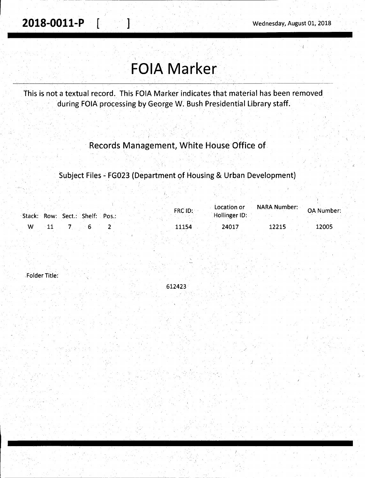## **FOIA Marker**

This is not a textual record. This FOIA Marker indicates that material has been removed during FOIA processing by George W. Bush Presidential Library staff.

## Records Management, White House Office of

Subject Files - FG023 (Department of Housing & Urban Development)

| Stack: Row: Sect.: Shelf: Pos.: |  |  | FRC ID: | Location or<br>Hollinger ID: | NARA Number: | <b>OA Number:</b> |
|---------------------------------|--|--|---------|------------------------------|--------------|-------------------|
| W                               |  |  | 11154   | 24017                        | 12215        | 12005             |

. Folder Title:

612423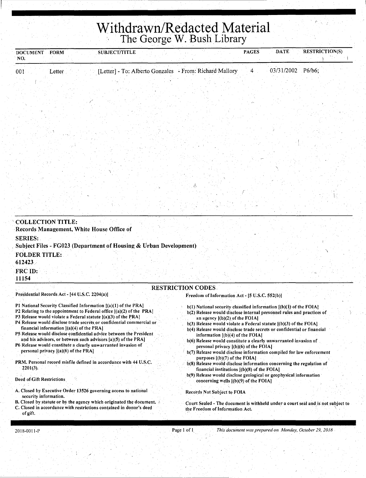# Withdrawn/Redacted Material

| <b>DOCUMENT</b><br><b>FORM</b>                                                                                                          | SUBJECT/TITLE                                                     |                                                                                                                                                  | <b>PAGES</b> | <b>DATE</b>       | RESTRICTION(S) |
|-----------------------------------------------------------------------------------------------------------------------------------------|-------------------------------------------------------------------|--------------------------------------------------------------------------------------------------------------------------------------------------|--------------|-------------------|----------------|
| NO.                                                                                                                                     |                                                                   |                                                                                                                                                  |              |                   |                |
| 001<br>Letter                                                                                                                           | [Letter] - To: Alberto Gonzales - From: Richard Mallory           |                                                                                                                                                  | $\mathbf{4}$ | 03/31/2002 P6/b6; |                |
|                                                                                                                                         |                                                                   |                                                                                                                                                  |              |                   |                |
|                                                                                                                                         |                                                                   |                                                                                                                                                  |              |                   |                |
|                                                                                                                                         |                                                                   |                                                                                                                                                  |              |                   |                |
|                                                                                                                                         |                                                                   |                                                                                                                                                  |              |                   |                |
|                                                                                                                                         |                                                                   |                                                                                                                                                  |              |                   |                |
|                                                                                                                                         |                                                                   |                                                                                                                                                  |              |                   |                |
|                                                                                                                                         |                                                                   |                                                                                                                                                  |              |                   |                |
|                                                                                                                                         |                                                                   |                                                                                                                                                  |              |                   |                |
|                                                                                                                                         |                                                                   |                                                                                                                                                  |              |                   |                |
|                                                                                                                                         |                                                                   |                                                                                                                                                  |              |                   |                |
|                                                                                                                                         |                                                                   |                                                                                                                                                  |              |                   |                |
|                                                                                                                                         |                                                                   |                                                                                                                                                  |              |                   |                |
|                                                                                                                                         |                                                                   |                                                                                                                                                  |              |                   |                |
|                                                                                                                                         |                                                                   |                                                                                                                                                  |              |                   |                |
| <b>COLLECTION TITLE:</b>                                                                                                                |                                                                   |                                                                                                                                                  |              |                   |                |
| Records Management, White House Office of                                                                                               |                                                                   |                                                                                                                                                  |              |                   |                |
| <b>SERIES:</b>                                                                                                                          | Subject Files - FG023 (Department of Housing & Urban Development) |                                                                                                                                                  |              |                   |                |
| <b>FOLDER TITLE:</b>                                                                                                                    |                                                                   |                                                                                                                                                  |              |                   |                |
| 612423                                                                                                                                  |                                                                   |                                                                                                                                                  |              |                   |                |
| FRC ID:                                                                                                                                 |                                                                   |                                                                                                                                                  |              |                   |                |
| 11154                                                                                                                                   |                                                                   |                                                                                                                                                  |              |                   |                |
| Presidential Records Act - [44 U.S.C. 2204(a)]                                                                                          |                                                                   | <b>RESTRICTION CODES.</b><br>Freedom of Information Act - [5 U.S.C. 552(b)]                                                                      |              |                   |                |
| P1 National Security Classified Information [(a)(1) of the PRA]                                                                         |                                                                   |                                                                                                                                                  |              |                   |                |
| P2 Relating to the appointment to Federal office $ (a)(2)$ of the PRA]                                                                  |                                                                   | $b(1)$ National security classified information $[(b)(1))$ of the FOIA]<br>b(2) Release would disclose internal personnel rules and practices of |              |                   |                |
| P3 Release would violate a Federal statute [(a)(3) of the PRA]<br>P4 Release would disclose trade secrets or confidential commercial or |                                                                   | an agency $[(b)(2)$ of the FOIA]<br>$b(3)$ Release would violate a Federal statute $[(b)(3)$ of the FOIA]                                        |              |                   |                |
| financial information $(2)(4)$ of the PRA<br>P5 Release would disclose confidential advice between the President                        |                                                                   | b(4) Release would disclose trade secrets or confidential or financial<br>information $[(b)(4)$ of the FOIA]                                     |              |                   |                |
| and his advisors, or between such advisors [a](5) of the PRA]                                                                           |                                                                   | b(6) Release would constitute a clearly unwarranted invasion of                                                                                  |              |                   |                |
| P6 Release would constitute a clearly unwarranted invasion of<br>personal privacy $[(a)(6)$ of the PRA]                                 |                                                                   | personal privacy $[(b)(6)$ of the FOIA.<br>b(7) Release would disclose information compiled for law enforcement                                  |              |                   |                |
| PRM. Personal record misfile defined in accordance with 44 U.S.C.                                                                       |                                                                   | purposes $[(b)(7)$ of the FOIA]<br>b(8) Release would disclose information concerning the regulation of                                          |              |                   |                |
| $2201(3)$ .                                                                                                                             |                                                                   | financial institutions $[(b)(8)$ of the FOIA]                                                                                                    |              |                   |                |

Deed of Gift Restrictions

A. Closed by Executive Order 13526 governing access to national security information.

B. Closed by statute or by the agency which originated the document. C. Closed in accordance with restrictions contained in donor's deed of gift.

b(9) Release would disclose geological or geophysical information concerning wells  $[(b)(9)$  of the FOIA]

Records Not Subject *tq* FOIA

Court Sealed - The document is withheld under a court seal and is not subject to the Freedom of Information Act.

2018-0011-P **Page 1.011** Page 1.011 **Page 1.011** *This document was prepared on Monday, October 29, 2018*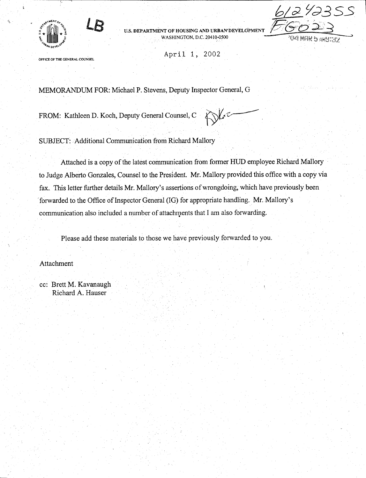

U.S. DEPARTMENT OF HOUSING AND URBAN DEVELGPMENT WASHINGTON, D.C. 20410-0500



OFFICE OF THE GENERAL COUNSEL

April 1, 2002

MEMORANDUM FOR: Michael P. Stevens, Deputy Inspector General, G

FROM: Kathleen D. Koch, Deputy General Counsel, C  $\bigotimes_{\mathcal{L}}$ 

SUBJECT: Additional Communication from Richard Mallory

Attached is a copy of the latest communication from former HUD employee Richard Mallory to Judge Alberto Gonzales, Counsel to the President. Mr. Mallory provided this office with a copy via fax. This letter further details Mr. Mallory's assertions of wrongdoing, which have previously been forwarded to the Office of Inspector General (IG) for appropriate handling. Mr. Mallory's communication also included a number of attachments that I am also forwarding.

Please add these materials to those we have previously forwarded to you.

Attachment

cc: Brett M. Kavanaugh Richard A. Hauser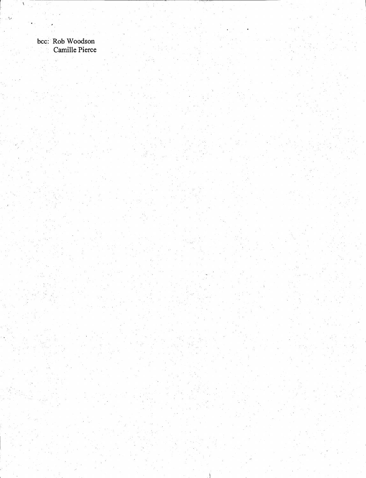bcc: Rob Woodson Camille Pierce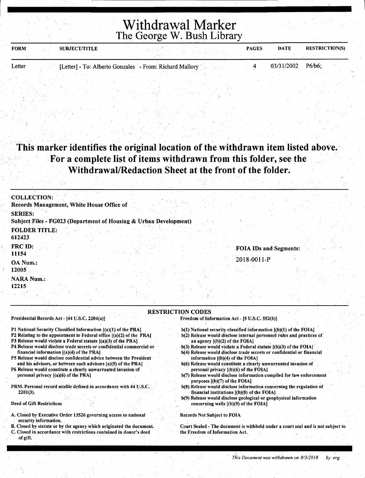## Withdrawal Marker The George W. Bush Library

| <b>FORM</b><br><b>SUBJECT/TITLE</b> |                                                         | <b>PAGES</b> | <b>DATE</b>         | <b>RESTRICTION(S)</b> |
|-------------------------------------|---------------------------------------------------------|--------------|---------------------|-----------------------|
|                                     |                                                         |              |                     |                       |
| Letter                              | [Letter] - To: Alberto Gonzales - From: Richard Mallory |              | $03/31/2002$ P6/b6; |                       |

## This marker identifies the original location of the withdrawn item listed above. . For a complete list of items withdrawn from this folder, see the Withdrawal/Redaction Sheet at the front of the folder.

| <b>COLLECTION:</b>                                                                                                                                                                                                                                                                         |  |
|--------------------------------------------------------------------------------------------------------------------------------------------------------------------------------------------------------------------------------------------------------------------------------------------|--|
| Records Management, White House Office of<br><b>SERIES:</b>                                                                                                                                                                                                                                |  |
| Subject Files - FG023 (Department of Housing & Urban Development)                                                                                                                                                                                                                          |  |
| <b>FOLDER TITLE:</b><br>612423                                                                                                                                                                                                                                                             |  |
| FRC ID:<br><b>FOIA IDs and Segments:</b><br>11154                                                                                                                                                                                                                                          |  |
| 2018-0011-P<br>OA Num.:                                                                                                                                                                                                                                                                    |  |
| 12005<br><b>NARA Num.:</b>                                                                                                                                                                                                                                                                 |  |
| 12215                                                                                                                                                                                                                                                                                      |  |
| <b>RESTRICTION CODES</b><br>Presidential Records Act - [44 U.S.C. 2204(a)]<br>Freedom of Information Act - [5 U.S.C. 552(b)]                                                                                                                                                               |  |
| P1 National Security Classified Information [(a)(1) of the PRA]<br>$b(1)$ National security classified information $[(b)(1)$ of the FOIA]<br>P2 Relating to the appointment to Federal office [(a)(2) of the PRA]<br>b(2) Release would disclose internal personnel rules and practices of |  |

- P3 Release would violate a Federal statute [(a)(3) of the PRAJ
- P4 Release would disclose trade secrets or confidential commercial or financial information [(a)(4) of the PRA)
- P5 Release would disclose confidential advice between the President and his advisors, or between such advisors [a)(S) of the PRA)
- P6 Release would constitute a clearly unwarranted invasion of personal privacy [(a)(6) of the PRA)
- PRM. Personal record misfile defined in accordance with 44 U.S.C. 2201(3).

#### Deed of Gift Restrictions

- A. Closed by Executive Order 13526 governing access to national security information.
- B. Closed by statute or by the agency which originated the document. C. Closed in accordance with restrictions contained in donor's deed of gift.
- b(2) Release would disclose internal personnel rules and practices of an agency  $[(b)(2)$  of the FOIA]
- ·b(3) Release would violate a Federal statute [(b)(3) of the FOIA)
- b(4) Release would disclose trade secrets or confidential or financial information [(b)(4) of the FOIA)
- b(6) Release would constitute a clearly unwarranted invasion of personal privacy  $[(b)(6)$  of the FOIA]
- b(7) Release would disclose information compiled for law enforcement purposes. [(b)(7) of the FOIA)
- b(8) Release would disclose information concerning the regulation of financial institutions  $[(b)(8)$  of the FOIA]
- b(9) Release would disclose geological or geophysical information concerning wells [(b)(9) of the FOIA)

#### Records Not Subject to FOIA

Court Sealed - The document is withheld under a court seal and is not subject to the Freedom of Information Act.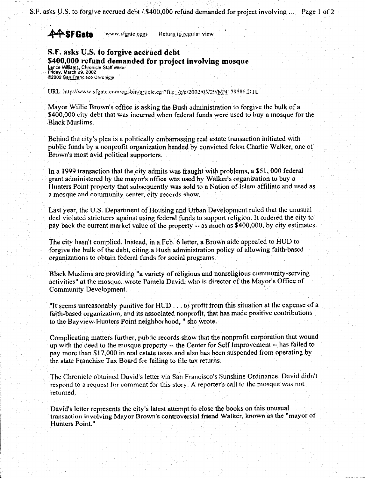## **44-SF Gate** *www.sfgate.com* Return to regular view

### **S.F. asks** lJ.S. **to forgive acctlled debt \$400,000 refund demanded for project involving mosque**  Lance Williams, Chronicle Staff Writer.<br>Friday, March 29. 2002 @2002. San Francisco Chronicle

URL: http://www.sfgate.com/cgi-bin/article.cgi?file ./c/n/2002/03/29/MN179586.DTL

Mayor Willie Brown's office is asking the Bush administration to forgive the bulk of a \$400,000 city debt that was incurred when federal funds were used to buy a mosque for the Black Muslims.

Behind the city's plea is a politically embarrassing real estate transaction initiated with public funds by a nonprofit organization headed by convicted felon Charlie Walker, one of Brown's most avid political supporters.

In a· 1999 transaction that the city admits was fraught with problems, a \$51, 000 federal grant administered by the mayor's office was used by Walker's organization tu buy a Hunters Point property that subsequently was sold to a Nation of Islam affiliate and used as a mosque and community center, city records show.

Last year, the U.S. Department of Housing and Urban Development ruled that the unusual deal violated strictures against using federal funds to support religion. It ordered the city to pay back the current market value of the property -- as much ns \$400,000, by city estimates.

The city hasn't complied. Instead, in a Feb. 6 letter, a Brown aide appealed to HUD to forgive the bulk of the debt, citing a Bush administration policy of allowing faith-based organizations to obtain federal funds for social programs.

Black Muslims arc providing "a variety of religious and nonreligious community-serving activities" at the mosque, wrote Pamela David, who is director of the Mayor's Office of Community Development.

"It seems unreasonably punitive for HUO ... to profit from this situation at the expense of a faith-based organization, and its associated nonprofit, that has made positive contributions to the Bayview-Hunters Point neighborhood, " she wrote.

Complicating matters further, public records show that the nonprofit corporation that wound up with the lfoed lo the mosque property -- the Center for Self Improvement -- has failed to pay more than \$17,000 in real estate taxes and also has been suspended from operating by the state Franchise Tax Board for failing to file tax returns.

The Chronicle obtained David's letter via San Francisco's Sunshine Ordinance. David didn't respond to a request for comment for this story. A reporter's call to the mosque was not returned.

David's letter represents the city's latest attempt to close the books un this unusual transaction involving Mayor Brown's controversial friend Walker, known as the "mayor of Hunters Point."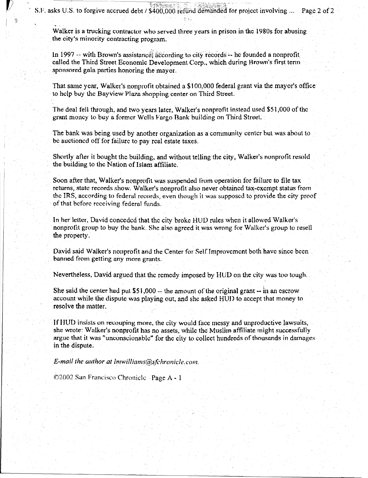Walker is a trucking contractor who served three years in prison in the 1980s for abusing the city's minority contracting program.

In 1997 -- with Brown's assistance:  $\frac{d}{dt}$  according to city records -- he founded a nonprofit called the Third Street Economic Development Corp., which during Brown's first term sponsored gala parties honoring the mayor.

That same year, Walker's nonprofit obtained a \$100,000 federal grant via the mayor's office to help buy the Bayview Plaza shopping center on Third Street.

The deal fell through, and two years later, Walker's nonprofit instead used \$51,000 of the grant money to buy a former Wells Fargo Bank building on Third Street.

The bank was being used by another organization as a community center but was about to be auctioned off for failure to pay real estate taxes.

Shortly after it bought the building, and without telling the city, Walker's nonprofit resold the building to the Nation of Islam affiliate.

Soon after that, Walker's nonprofit was suspended from operation for failure to file tax returns, state records show. Walker's nonprofit also never obtained tax-exempt status from the IRS, according to federal records, even though it was supposed to provide the city proof of that before receiving federnl funds.

In her letter, David conceded that the city broke HUD rules when it allowed Walker's nonprofit group to buy the bank. She also agreed it was wrong for Walker's group to resell the property.

David said Walker's nonprofit and the Center for Self Improvement both have since been banned from getting any more grants.

Nevertheless, David argued that the remedy imposed by HUD on the city was too tough.

She said the center had put \$51,000  $-$  the amount of the original grant  $-$  in an escrow account while the dispute was playing out. and she asked HUD to accept that money to resolve the matter.

If HUD insists on recouping more, the city would face messy and unproductive lawsuits, she wrote: Walker's nonprofit has no assets, while the Muslim affiliate might successfully argue that it was "uncunscionablc'' for the city to collect hundreds of thousnnds in damages in the dispute.

*E-mail the author at lmwilliams@sfchronicle.com.* 

©2002 San Francisco Chronicle -Page A - 1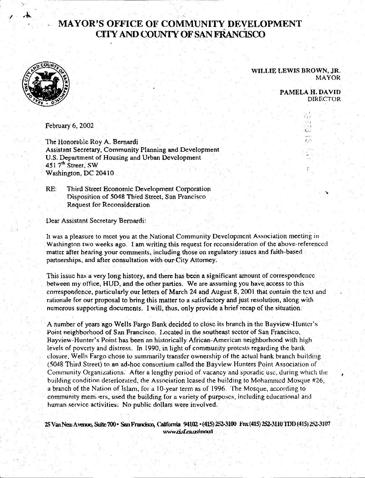## **MAYOR'S OFFICE OF COMMUNITY DEVELOPMENT CITY AND COUNTY OF SAN FRANCISCO**



**·.l** 

#### WILLIE LEWIS BROWN, JR. MAYOR

PAMELA H.DAVID DIREC'fOR

> $\cdot$   $\cdot$  1 t·-,··  $\ddotsc$  $\mathbb{C}$  . *(\_,·.*

February 6, 2002

The Honorable Roy A. Bernardi Assistant Secretary, Community Planning and Development U.S. Department of Housing and Urban Development 451  $7<sup>th</sup>$  Street, SW Washington, DC 20410

RE: Third Street Economic Development Corporation Disposition of 5048 Third Street, San Francisco Request for Reconsideration

Dear Assistant Secretary Bernardi:

It was a pleasure to meet you at the National Community Development Association meeting in Washington two weeks ago. I am writing this request for reconsideration of the above-referenced matter after hearing your comments, including those on regulatory issues and faith-based partnerships, and after consultation with our City Attorney.

This issue has a very long history, and there has been a significant amount of correspondence between my office, HUD, and the other parties. We are assuming you have access to this correspondence, particularly our letters of Mnrch 24 and August 8, 2001 that contain the text and ralionale for our proposal to bring this matter to a satisfactory and just resolution, along with numerous supporting documents. I will, thus, only provide a hrief recap of lhe situation.

A number of years ago Wells Fargo Bank decided to close its branch in the Bayview-Hunter's Point neighborhood of San Francisco. Located in the southeast sector of San Francisco. Rayview-Hunter's Point has been an historically African-American neighborhood with high levels of poverty and distress. Jn 1990, in light of community protests regarding the bank dosure, Wells Fargo chose to summarily transfer ownership of the actual hank branch huilding (5048 Third Street) to. an ad-hoc consortium called the Bayview Hunters Point Association of Community Organizations. After a lengthy period of vacancy and sporadic use, during which the building condition deteriorated, the Association leased the huilding to Mohammed Mosque #26, a branch of the Nation of Islam, for a 10-year term as of 1996. The Mosque, according to community members, used the building for a variety of purposes, including educational and human service activities. No public dollars were involved.

25 Van Ness Avenue, Suitc 700 · San Francisco, California 94102 · (415) 252-3100 Fax (415) 252-3110 TDD (415) 252-3107 www.ci.sf.ca.us/moorl